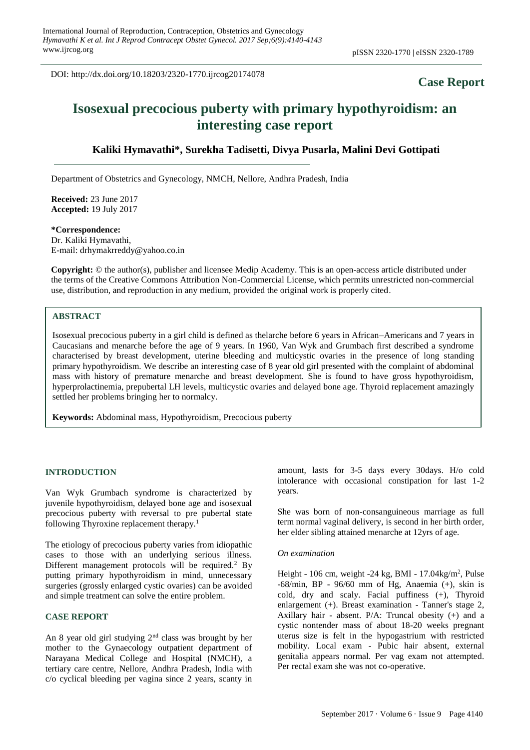DOI: http://dx.doi.org/10.18203/2320-1770.ijrcog20174078

# **Case Report**

# **Isosexual precocious puberty with primary hypothyroidism: an interesting case report**

# **Kaliki Hymavathi\*, Surekha Tadisetti, Divya Pusarla, Malini Devi Gottipati**

Department of Obstetrics and Gynecology, NMCH, Nellore, Andhra Pradesh, India

**Received:** 23 June 2017 **Accepted:** 19 July 2017

**\*Correspondence:** Dr. Kaliki Hymavathi, E-mail: drhymakrreddy@yahoo.co.in

**Copyright:** © the author(s), publisher and licensee Medip Academy. This is an open-access article distributed under the terms of the Creative Commons Attribution Non-Commercial License, which permits unrestricted non-commercial use, distribution, and reproduction in any medium, provided the original work is properly cited.

# **ABSTRACT**

Isosexual precocious puberty in a girl child is defined as thelarche before 6 years in African–Americans and 7 years in Caucasians and menarche before the age of 9 years. In 1960, Van Wyk and Grumbach first described a syndrome characterised by breast development, uterine bleeding and multicystic ovaries in the presence of long standing primary hypothyroidism. We describe an interesting case of 8 year old girl presented with the complaint of abdominal mass with history of premature menarche and breast development. She is found to have gross hypothyroidism, hyperprolactinemia, prepubertal LH levels, multicystic ovaries and delayed bone age. Thyroid replacement amazingly settled her problems bringing her to normalcy.

**Keywords:** Abdominal mass, Hypothyroidism, Precocious puberty

## **INTRODUCTION**

Van Wyk Grumbach syndrome is characterized by juvenile hypothyroidism, delayed bone age and isosexual precocious puberty with reversal to pre pubertal state following Thyroxine replacement therapy.<sup>1</sup>

The etiology of precocious puberty varies from idiopathic cases to those with an underlying serious illness. Different management protocols will be required.<sup>2</sup> By putting primary hypothyroidism in mind, unnecessary surgeries (grossly enlarged cystic ovaries) can be avoided and simple treatment can solve the entire problem.

#### **CASE REPORT**

An 8 year old girl studying 2nd class was brought by her mother to the Gynaecology outpatient department of Narayana Medical College and Hospital (NMCH), a tertiary care centre, Nellore, Andhra Pradesh, India with c/o cyclical bleeding per vagina since 2 years, scanty in amount, lasts for 3-5 days every 30days. H/o cold intolerance with occasional constipation for last 1-2 years.

She was born of non-consanguineous marriage as full term normal vaginal delivery, is second in her birth order, her elder sibling attained menarche at 12yrs of age.

#### *On examination*

Height - 106 cm, weight -24 kg, BMI - 17.04kg/m<sup>2</sup>, Pulse -68/min, BP - 96/60 mm of Hg, Anaemia (+), skin is cold, dry and scaly. Facial puffiness (+), Thyroid enlargement (+). Breast examination - Tanner's stage 2, Axillary hair - absent. P/A: Truncal obesity (+) and a cystic nontender mass of about 18-20 weeks pregnant uterus size is felt in the hypogastrium with restricted mobility. Local exam - Pubic hair absent, external genitalia appears normal. Per vag exam not attempted. Per rectal exam she was not co-operative.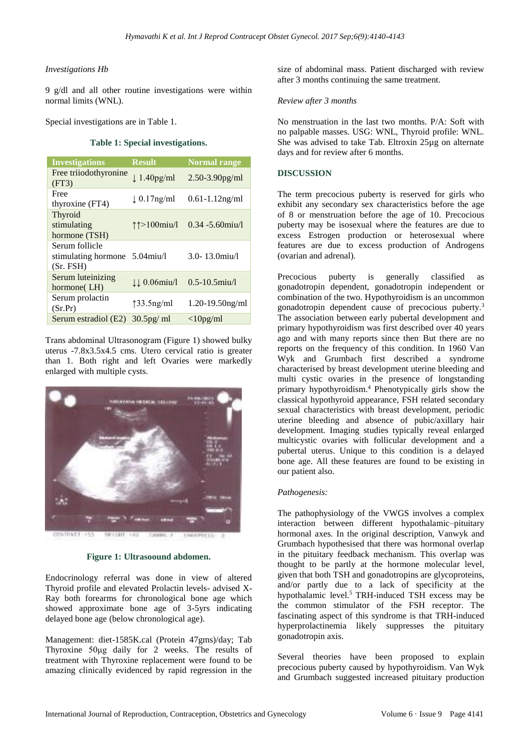## *Investigations Hb*

9 g/dl and all other routine investigations were within normal limits (WNL).

Special investigations are in Table 1.

## **Table 1: Special investigations.**

| <b>Investigations</b>                                         | <b>Result</b>                   | <b>Normal range</b>       |
|---------------------------------------------------------------|---------------------------------|---------------------------|
| Free triiodothyronine<br>(FT3)                                | $\downarrow$ 1.40pg/ml          | $2.50 - 3.90$ pg/ml       |
| Free<br>thyroxine (FT4)                                       | $\downarrow$ 0.17ng/ml          | $0.61 - 1.12$ ng/ml       |
| Thyroid<br>stimulating<br>hormone (TSH)                       | $\uparrow \uparrow > 100$ miu/l | $0.34 - 5.60$ miu/l       |
| Serum follicle<br>stimulating hormone 5.04 miu/l<br>(Sr. FSH) |                                 | $3.0 - 13.0$ miu/l        |
| Serum luteinizing<br>hormone(LH)                              | <b>JJ</b> 0.06miu/l             | $0.5 - 10.5$ miu/l        |
| Serum prolactin<br>(Sr.Pr)                                    | $\uparrow$ 33.5ng/ml            | $1.20 - 19.50$ ng/ml      |
| Serum estradiol (E2)                                          | $30.5$ pg/ ml                   | $\langle 10 \text{pg/ml}$ |

Trans abdominal Ultrasonogram (Figure 1) showed bulky uterus -7.8x3.5x4.5 cms. Utero cervical ratio is greater than 1. Both right and left Ovaries were markedly enlarged with multiple cysts.



**Figure 1: Ultrasoound abdomen.**

Endocrinology referral was done in view of altered Thyroid profile and elevated Prolactin levels- advised X-Ray both forearms for chronological bone age which showed approximate bone age of 3-5yrs indicating delayed bone age (below chronological age).

Management: diet-1585K.cal (Protein 47gms)/day; Tab Thyroxine 50μg daily for 2 weeks. The results of treatment with Thyroxine replacement were found to be amazing clinically evidenced by rapid regression in the size of abdominal mass. Patient discharged with review after 3 months continuing the same treatment.

## *Review after 3 months*

No menstruation in the last two months. P/A: Soft with no palpable masses. USG: WNL, Thyroid profile: WNL. She was advised to take Tab. Eltroxin 25µg on alternate days and for review after 6 months.

# **DISCUSSION**

The term precocious puberty is reserved for girls who exhibit any secondary sex characteristics before the age of 8 or menstruation before the age of 10. Precocious puberty may be isosexual where the features are due to excess Estrogen production or heterosexual where features are due to excess production of Androgens (ovarian and adrenal).

Precocious puberty is generally classified as gonadotropin dependent, gonadotropin independent or combination of the two. Hypothyroidism is an uncommon gonadotropin dependent cause of precocious puberty. 3 The association between early pubertal development and primary hypothyroidism was first described over 40 years ago and with many reports since then. But there are no reports on the frequency of this condition. In 1960 Van Wyk and Grumbach first described a syndrome characterised by breast development uterine bleeding and multi cystic ovaries in the presence of longstanding primary hypothyroidism. <sup>4</sup> Phenotypically girls show the classical hypothyroid appearance, FSH related secondary sexual characteristics with breast development, periodic uterine bleeding and absence of pubic/axillary hair development. Imaging studies typically reveal enlarged multicystic ovaries with follicular development and a pubertal uterus. Unique to this condition is a delayed bone age. All these features are found to be existing in our patient also.

# *Pathogenesis:*

The pathophysiology of the VWGS involves a complex interaction between different hypothalamic–pituitary hormonal axes. In the original description, Vanwyk and Grumbach hypothesised that there was hormonal overlap in the pituitary feedback mechanism. This overlap was thought to be partly at the hormone molecular level, given that both TSH and gonadotropins are glycoproteins, and/or partly due to a lack of specificity at the hypothalamic level. <sup>5</sup> TRH-induced TSH excess may be the common stimulator of the FSH receptor. The fascinating aspect of this syndrome is that TRH-induced hyperprolactinemia likely suppresses the pituitary gonadotropin axis.

Several theories have been proposed to explain precocious puberty caused by hypothyroidism. Van Wyk and Grumbach suggested increased pituitary production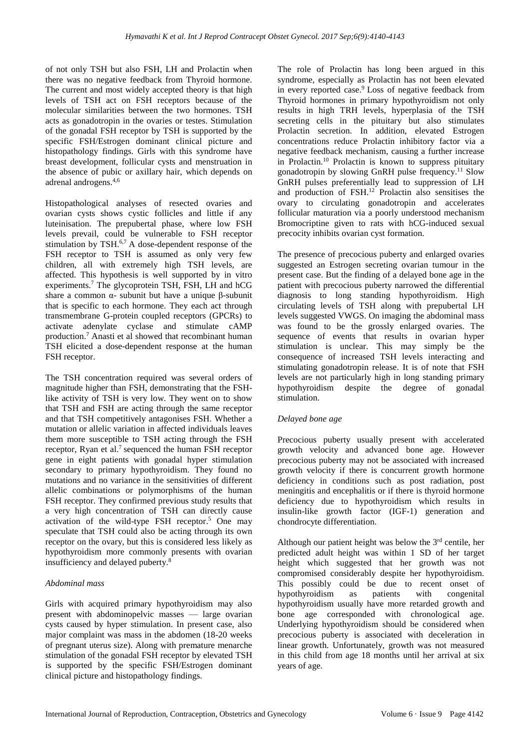of not only TSH but also FSH, LH and Prolactin when there was no negative feedback from Thyroid hormone. The current and most widely accepted theory is that high levels of TSH act on FSH receptors because of the molecular similarities between the two hormones. TSH acts as gonadotropin in the ovaries or testes. Stimulation of the gonadal FSH receptor by TSH is supported by the specific FSH/Estrogen dominant clinical picture and histopathology findings. Girls with this syndrome have breast development, follicular cysts and menstruation in the absence of pubic or axillary hair, which depends on adrenal androgens. 4,6

Histopathological analyses of resected ovaries and ovarian cysts shows cystic follicles and little if any luteinisation. The prepubertal phase, where low FSH levels prevail, could be vulnerable to FSH receptor stimulation by TSH.<sup>6,7</sup> A dose-dependent response of the FSH receptor to TSH is assumed as only very few children, all with extremely high TSH levels, are affected. This hypothesis is well supported by in vitro experiments. <sup>7</sup> The glycoprotein TSH, FSH, LH and hCG share a common  $α$ - subunit but have a unique β-subunit that is specific to each hormone. They each act through transmembrane G-protein coupled receptors (GPCRs) to activate adenylate cyclase and stimulate cAMP production. <sup>7</sup> Anasti et al showed that recombinant human TSH elicited a dose-dependent response at the human FSH receptor.

The TSH concentration required was several orders of magnitude higher than FSH, demonstrating that the FSHlike activity of TSH is very low. They went on to show that TSH and FSH are acting through the same receptor and that TSH competitively antagonises FSH. Whether a mutation or allelic variation in affected individuals leaves them more susceptible to TSH acting through the FSH receptor, Ryan et al.<sup>7</sup> sequenced the human FSH receptor gene in eight patients with gonadal hyper stimulation secondary to primary hypothyroidism. They found no mutations and no variance in the sensitivities of different allelic combinations or polymorphisms of the human FSH receptor. They confirmed previous study results that a very high concentration of TSH can directly cause activation of the wild-type FSH receptor. <sup>5</sup> One may speculate that TSH could also be acting through its own receptor on the ovary, but this is considered less likely as hypothyroidism more commonly presents with ovarian insufficiency and delayed puberty. 8

# *Abdominal mass*

Girls with acquired primary hypothyroidism may also present with abdominopelvic masses — large ovarian cysts caused by hyper stimulation. In present case, also major complaint was mass in the abdomen (18-20 weeks of pregnant uterus size). Along with premature menarche stimulation of the gonadal FSH receptor by elevated TSH is supported by the specific FSH/Estrogen dominant clinical picture and histopathology findings.

The role of Prolactin has long been argued in this syndrome, especially as Prolactin has not been elevated in every reported case.<sup>9</sup> Loss of negative feedback from Thyroid hormones in primary hypothyroidism not only results in high TRH levels, hyperplasia of the TSH secreting cells in the pituitary but also stimulates Prolactin secretion. In addition, elevated Estrogen concentrations reduce Prolactin inhibitory factor via a negative feedback mechanism, causing a further increase in Prolactin. <sup>10</sup> Prolactin is known to suppress pituitary gonadotropin by slowing GnRH pulse frequency. <sup>11</sup> Slow GnRH pulses preferentially lead to suppression of LH and production of FSH. <sup>12</sup> Prolactin also sensitises the ovary to circulating gonadotropin and accelerates follicular maturation via a poorly understood mechanism Bromocriptine given to rats with hCG-induced sexual precocity inhibits ovarian cyst formation.

The presence of precocious puberty and enlarged ovaries suggested an Estrogen secreting ovarian tumour in the present case. But the finding of a delayed bone age in the patient with precocious puberty narrowed the differential diagnosis to long standing hypothyroidism. High circulating levels of TSH along with prepubertal LH levels suggested VWGS. On imaging the abdominal mass was found to be the grossly enlarged ovaries. The sequence of events that results in ovarian hyper stimulation is unclear. This may simply be the consequence of increased TSH levels interacting and stimulating gonadotropin release. It is of note that FSH levels are not particularly high in long standing primary hypothyroidism despite the degree of gonadal stimulation.

## *Delayed bone age*

Precocious puberty usually present with accelerated growth velocity and advanced bone age. However precocious puberty may not be associated with increased growth velocity if there is concurrent growth hormone deficiency in conditions such as post radiation, post meningitis and encephalitis or if there is thyroid hormone deficiency due to hypothyroidism which results in insulin-like growth factor (IGF-1) generation and chondrocyte differentiation.

Although our patient height was below the 3 rd centile, her predicted adult height was within 1 SD of her target height which suggested that her growth was not compromised considerably despite her hypothyroidism. This possibly could be due to recent onset of hypothyroidism as patients with congenital hypothyroidism usually have more retarded growth and bone age corresponded with chronological age. Underlying hypothyroidism should be considered when precocious puberty is associated with deceleration in linear growth. Unfortunately, growth was not measured in this child from age 18 months until her arrival at six years of age.